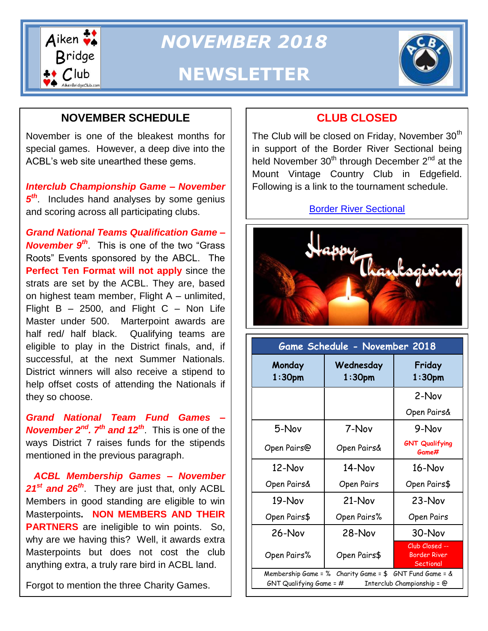

*NOVEMBER 2018*

# **NEWSLETTER**



# **NOVEMBER SCHEDULE**

November is one of the bleakest months for special games. However, a deep dive into the ACBL's web site unearthed these gems.

*Interclub Championship Game – November*  5<sup>th</sup>. Includes hand analyses by some genius and scoring across all participating clubs.

*Grand National Teams Qualification Game – November 9th*. This is one of the two "Grass Roots" Events sponsored by the ABCL. The **Perfect Ten Format will not apply** since the strats are set by the ACBL. They are, based on highest team member, Flight A – unlimited, Flight  $B - 2500$ , and Flight  $C -$  Non Life Master under 500. Marterpoint awards are half red/ half black. Qualifying teams are eligible to play in the District finals, and, if successful, at the next Summer Nationals. District winners will also receive a stipend to help offset costs of attending the Nationals if they so choose.

*Grand National Team Fund Games – November 2nd. 7th and 12th*. This is one of the ways District 7 raises funds for the stipends mentioned in the previous paragraph.

 *ACBL Membership Games – November 21st and 26th*. They are just that, only ACBL Members in good standing are eligible to win Masterpoints**. NON MEMBERS AND THEIR PARTNERS** are ineligible to win points. So, why are we having this? Well, it awards extra Masterpoints but does not cost the club anything extra, a truly rare bird in ACBL land.

Forgot to mention the three Charity Games.

## **CLUB CLOSED**

The Club will be closed on Friday, November 30<sup>th</sup> in support of the Border River Sectional being held November  $30<sup>th</sup>$  through December  $2<sup>nd</sup>$  at the Mount Vintage Country Club in Edgefield. Following is a link to the tournament schedule.

#### [Border River Sectional](http://tournaments.acbl.org/schedule.php?sanction=1812041)



| Game Schedule - November 2018                                                                                     |                        |                                                    |
|-------------------------------------------------------------------------------------------------------------------|------------------------|----------------------------------------------------|
| Monday<br>1:30 <sub>pm</sub>                                                                                      | Wednesday<br>$1:30$ pm | Friday<br>1:30 <sub>pm</sub>                       |
|                                                                                                                   |                        | 2-Nov                                              |
|                                                                                                                   |                        | Open Pairs&                                        |
| 5-Nov                                                                                                             | 7-Nov                  | 9-Nov                                              |
| Open Pairs@                                                                                                       | Open Pairs&            | <b>GNT Qualifying</b><br>Game#                     |
| 12-Nov                                                                                                            | $14 - Nov$             | 16-Nov                                             |
| Open Pairs&                                                                                                       | Open Pairs             | Open Pairs\$                                       |
| 19-Nov                                                                                                            | $21-Nov$               | 23-Nov                                             |
| Open Pairs\$                                                                                                      | Open Pairs%            | Open Pairs                                         |
| $26-Nov$                                                                                                          | $28-Nov$               | 30-Nov                                             |
| Open Pairs%                                                                                                       | Open Pairs\$           | Club Closed --<br><b>Border River</b><br>Sectional |
| Membership Game = % Charity Game = $$$ GNT Fund Game = &<br>GNT Qualifying Game = #<br>Interclub Championship = @ |                        |                                                    |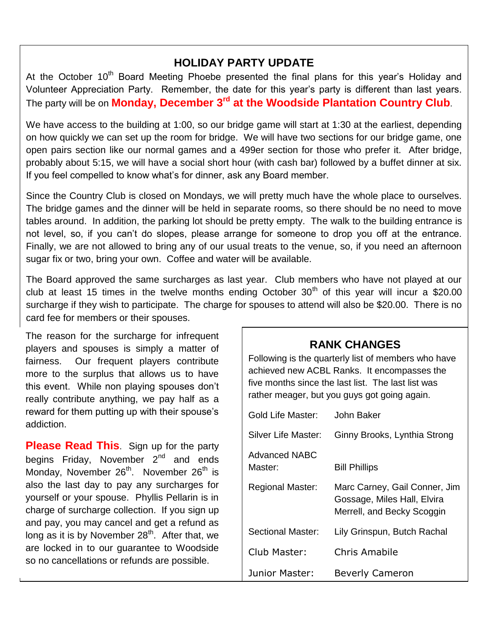### **HOLIDAY PARTY UPDATE**

At the October  $10<sup>th</sup>$  Board Meeting Phoebe presented the final plans for this year's Holiday and Volunteer Appreciation Party. Remember, the date for this year's party is different than last years. The party will be on **Monday, December 3rd at the Woodside Plantation Country Club**.

We have access to the building at 1:00, so our bridge game will start at 1:30 at the earliest, depending on how quickly we can set up the room for bridge. We will have two sections for our bridge game, one open pairs section like our normal games and a 499er section for those who prefer it. After bridge, probably about 5:15, we will have a social short hour (with cash bar) followed by a buffet dinner at six. If you feel compelled to know what's for dinner, ask any Board member.

Since the Country Club is closed on Mondays, we will pretty much have the whole place to ourselves. The bridge games and the dinner will be held in separate rooms, so there should be no need to move tables around. In addition, the parking lot should be pretty empty. The walk to the building entrance is not level, so, if you can't do slopes, please arrange for someone to drop you off at the entrance. Finally, we are not allowed to bring any of our usual treats to the venue, so, if you need an afternoon sugar fix or two, bring your own. Coffee and water will be available.

The Board approved the same surcharges as last year. Club members who have not played at our club at least 15 times in the twelve months ending October  $30<sup>th</sup>$  of this year will incur a \$20.00 surcharge if they wish to participate. The charge for spouses to attend will also be \$20.00. There is no card fee for members or their spouses.

The reason for the surcharge for infrequent players and spouses is simply a matter of fairness. Our frequent players contribute more to the surplus that allows us to have this event. While non playing spouses don't really contribute anything, we pay half as a reward for them putting up with their spouse's addiction.

**Please Read This.** Sign up for the party begins Friday, November  $2^{nd}$  and ends Monday, November 26<sup>th</sup>. November 26<sup>th</sup> is also the last day to pay any surcharges for yourself or your spouse. Phyllis Pellarin is in charge of surcharge collection. If you sign up and pay, you may cancel and get a refund as long as it is by November  $28<sup>th</sup>$ . After that, we are locked in to our guarantee to Woodside so no cancellations or refunds are possible.

Following is the quarterly list of members who have achieved new ACBL Ranks. It encompasses the five months since the last list. The last list was rather meager, but you guys got going again.

| Gold Life Master:               | John Baker                                                                                 |
|---------------------------------|--------------------------------------------------------------------------------------------|
| Silver Life Master:             | Ginny Brooks, Lynthia Strong                                                               |
| <b>Advanced NABC</b><br>Master: | <b>Bill Phillips</b>                                                                       |
| <b>Regional Master:</b>         | Marc Carney, Gail Conner, Jim<br>Gossage, Miles Hall, Elvira<br>Merrell, and Becky Scoggin |
| Sectional Master:               | Lily Grinspun, Butch Rachal                                                                |
| Club Master:                    | Chris Amabile                                                                              |
| Junior Master:                  | <b>Beverly Cameron</b>                                                                     |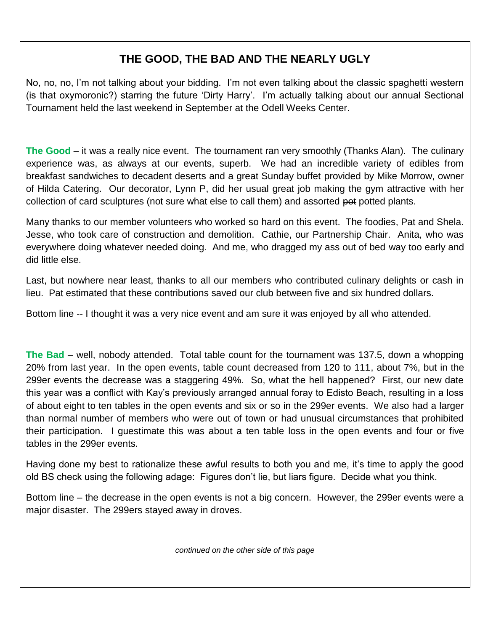## **THE GOOD, THE BAD AND THE NEARLY UGLY**

No, no, no, I'm not talking about your bidding. I'm not even talking about the classic spaghetti western (is that oxymoronic?) starring the future 'Dirty Harry'. I'm actually talking about our annual Sectional Tournament held the last weekend in September at the Odell Weeks Center.

 of Hilda Catering. Our decorator, Lynn P, did her usual great job making the gym attractive with her **The Good** – it was a really nice event. The tournament ran very smoothly (Thanks Alan). The culinary experience was, as always at our events, superb. We had an incredible variety of edibles from breakfast sandwiches to decadent deserts and a great Sunday buffet provided by Mike Morrow, owner collection of card sculptures (not sure what else to call them) and assorted pot potted plants.

Many thanks to our member volunteers who worked so hard on this event. The foodies, Pat and Shela. Jesse, who took care of construction and demolition. Cathie, our Partnership Chair. Anita, who was everywhere doing whatever needed doing. And me, who dragged my ass out of bed way too early and did little else.

Last, but nowhere near least, thanks to all our members who contributed culinary delights or cash in lieu. Pat estimated that these contributions saved our club between five and six hundred dollars.

Bottom line -- I thought it was a very nice event and am sure it was enjoyed by all who attended.

**The Bad** – well, nobody attended. Total table count for the tournament was 137.5, down a whopping 20% from last year. In the open events, table count decreased from 120 to 111, about 7%, but in the 299er events the decrease was a staggering 49%. So, what the hell happened? First, our new date this year was a conflict with Kay's previously arranged annual foray to Edisto Beach, resulting in a loss of about eight to ten tables in the open events and six or so in the 299er events. We also had a larger than normal number of members who were out of town or had unusual circumstances that prohibited their participation. I guestimate this was about a ten table loss in the open events and four or five tables in the 299er events.

Having done my best to rationalize these awful results to both you and me, it's time to apply the good old BS check using the following adage: Figures don't lie, but liars figure. Decide what you think.

Bottom line – the decrease in the open events is not a big concern. However, the 299er events were a major disaster. The 299ers stayed away in droves.

*continued on the other side of this page*